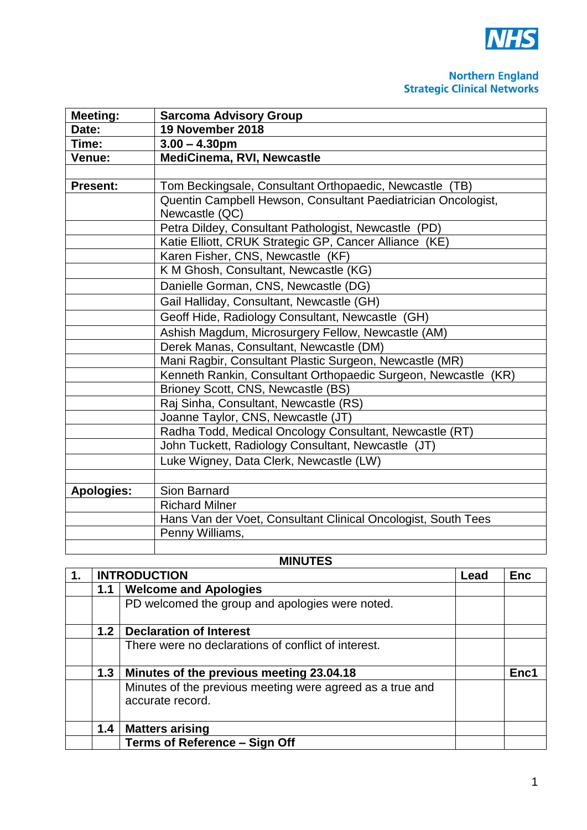

## **Northern England**<br>Strategic Clinical Networks

| <b>Meeting:</b>   | <b>Sarcoma Advisory Group</b>                                  |
|-------------------|----------------------------------------------------------------|
| Date:             | 19 November 2018                                               |
| Time:             | $3.00 - 4.30$ pm                                               |
| <b>Venue:</b>     | <b>MediCinema, RVI, Newcastle</b>                              |
|                   |                                                                |
| <b>Present:</b>   | Tom Beckingsale, Consultant Orthopaedic, Newcastle (TB)        |
|                   | Quentin Campbell Hewson, Consultant Paediatrician Oncologist,  |
|                   | Newcastle (QC)                                                 |
|                   | Petra Dildey, Consultant Pathologist, Newcastle (PD)           |
|                   | Katie Elliott, CRUK Strategic GP, Cancer Alliance (KE)         |
|                   | Karen Fisher, CNS, Newcastle (KF)                              |
|                   | K M Ghosh, Consultant, Newcastle (KG)                          |
|                   | Danielle Gorman, CNS, Newcastle (DG)                           |
|                   | Gail Halliday, Consultant, Newcastle (GH)                      |
|                   | Geoff Hide, Radiology Consultant, Newcastle (GH)               |
|                   | Ashish Magdum, Microsurgery Fellow, Newcastle (AM)             |
|                   | Derek Manas, Consultant, Newcastle (DM)                        |
|                   | Mani Ragbir, Consultant Plastic Surgeon, Newcastle (MR)        |
|                   | Kenneth Rankin, Consultant Orthopaedic Surgeon, Newcastle (KR) |
|                   | Brioney Scott, CNS, Newcastle (BS)                             |
|                   | Raj Sinha, Consultant, Newcastle (RS)                          |
|                   | Joanne Taylor, CNS, Newcastle (JT)                             |
|                   | Radha Todd, Medical Oncology Consultant, Newcastle (RT)        |
|                   | John Tuckett, Radiology Consultant, Newcastle (JT)             |
|                   | Luke Wigney, Data Clerk, Newcastle (LW)                        |
|                   |                                                                |
| <b>Apologies:</b> | Sion Barnard                                                   |
|                   | <b>Richard Milner</b>                                          |
|                   | Hans Van der Voet, Consultant Clinical Oncologist, South Tees  |
|                   | Penny Williams,                                                |
|                   |                                                                |

## **MINUTES**

| 1. |     | <b>INTRODUCTION</b>                                                           |  | <b>Enc</b> |
|----|-----|-------------------------------------------------------------------------------|--|------------|
|    | 1.1 | <b>Welcome and Apologies</b>                                                  |  |            |
|    |     | PD welcomed the group and apologies were noted.                               |  |            |
|    | 1.2 | <b>Declaration of Interest</b>                                                |  |            |
|    |     | There were no declarations of conflict of interest.                           |  |            |
|    | 1.3 | Minutes of the previous meeting 23.04.18                                      |  | Enc1       |
|    |     | Minutes of the previous meeting were agreed as a true and<br>accurate record. |  |            |
|    | 1.4 | <b>Matters arising</b>                                                        |  |            |
|    |     | <b>Terms of Reference - Sign Off</b>                                          |  |            |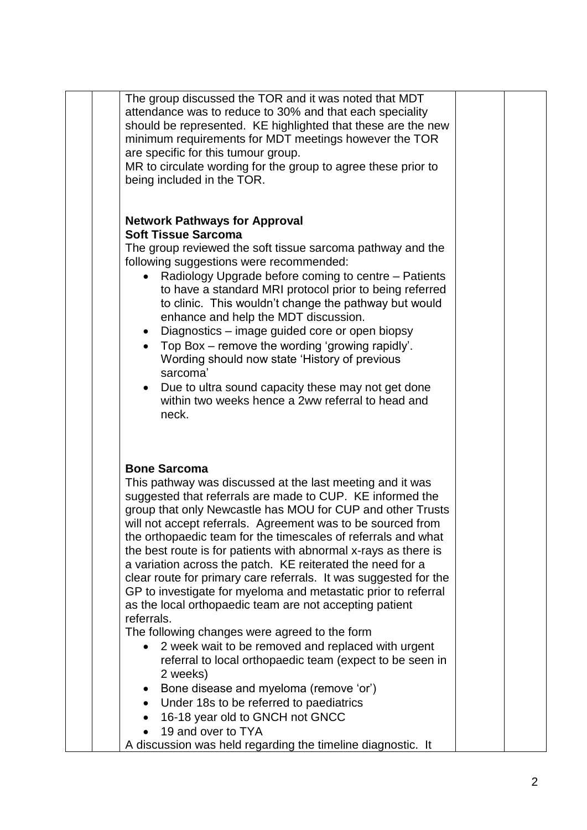| The group discussed the TOR and it was noted that MDT             |  |
|-------------------------------------------------------------------|--|
| attendance was to reduce to 30% and that each speciality          |  |
| should be represented. KE highlighted that these are the new      |  |
| minimum requirements for MDT meetings however the TOR             |  |
| are specific for this tumour group.                               |  |
| MR to circulate wording for the group to agree these prior to     |  |
| being included in the TOR.                                        |  |
|                                                                   |  |
| <b>Network Pathways for Approval</b>                              |  |
| <b>Soft Tissue Sarcoma</b>                                        |  |
| The group reviewed the soft tissue sarcoma pathway and the        |  |
| following suggestions were recommended:                           |  |
| Radiology Upgrade before coming to centre - Patients<br>$\bullet$ |  |
| to have a standard MRI protocol prior to being referred           |  |
| to clinic. This wouldn't change the pathway but would             |  |
| enhance and help the MDT discussion.                              |  |
| Diagnostics – image guided core or open biopsy<br>$\bullet$       |  |
| Top Box - remove the wording 'growing rapidly'.                   |  |
| Wording should now state 'History of previous                     |  |
| sarcoma'                                                          |  |
| Due to ultra sound capacity these may not get done                |  |
| within two weeks hence a 2ww referral to head and                 |  |
| neck.                                                             |  |
|                                                                   |  |
|                                                                   |  |
| <b>Bone Sarcoma</b>                                               |  |
| This pathway was discussed at the last meeting and it was         |  |
| suggested that referrals are made to CUP. KE informed the         |  |
| group that only Newcastle has MOU for CUP and other Trusts        |  |
| will not accept referrals. Agreement was to be sourced from       |  |
| the orthopaedic team for the timescales of referrals and what     |  |
| the best route is for patients with abnormal x-rays as there is   |  |
| a variation across the patch. KE reiterated the need for a        |  |
| clear route for primary care referrals. It was suggested for the  |  |
| GP to investigate for myeloma and metastatic prior to referral    |  |
| as the local orthopaedic team are not accepting patient           |  |
| referrals.                                                        |  |
| The following changes were agreed to the form                     |  |
| 2 week wait to be removed and replaced with urgent                |  |
| referral to local orthopaedic team (expect to be seen in          |  |
| 2 weeks)                                                          |  |
| Bone disease and myeloma (remove 'or')                            |  |
| Under 18s to be referred to paediatrics                           |  |
| 16-18 year old to GNCH not GNCC                                   |  |
| 19 and over to TYA                                                |  |
| A discussion was held regarding the timeline diagnostic. It       |  |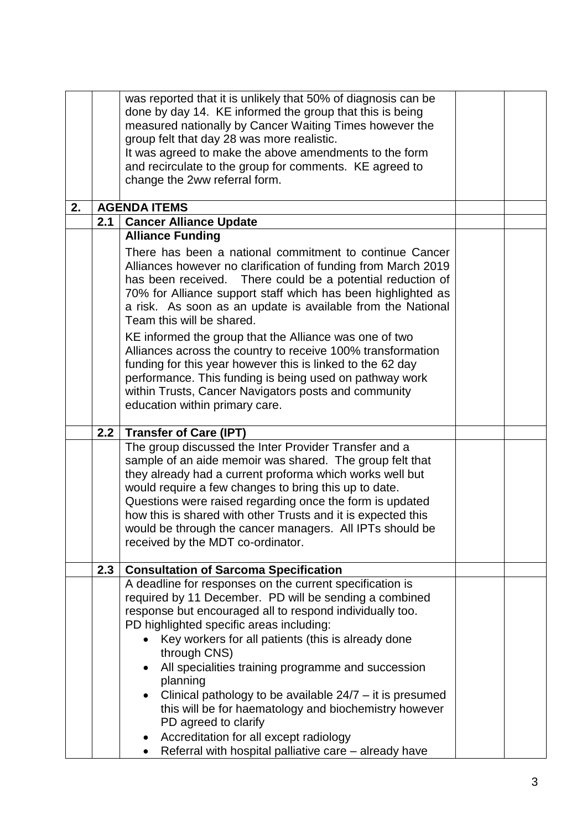|    |     | was reported that it is unlikely that 50% of diagnosis can be<br>done by day 14. KE informed the group that this is being<br>measured nationally by Cancer Waiting Times however the<br>group felt that day 28 was more realistic.<br>It was agreed to make the above amendments to the form<br>and recirculate to the group for comments. KE agreed to<br>change the 2ww referral form.                                                                                                                                                                                                                                                                                                                                  |  |
|----|-----|---------------------------------------------------------------------------------------------------------------------------------------------------------------------------------------------------------------------------------------------------------------------------------------------------------------------------------------------------------------------------------------------------------------------------------------------------------------------------------------------------------------------------------------------------------------------------------------------------------------------------------------------------------------------------------------------------------------------------|--|
| 2. |     | <b>AGENDA ITEMS</b>                                                                                                                                                                                                                                                                                                                                                                                                                                                                                                                                                                                                                                                                                                       |  |
|    | 2.1 | <b>Cancer Alliance Update</b>                                                                                                                                                                                                                                                                                                                                                                                                                                                                                                                                                                                                                                                                                             |  |
|    |     | <b>Alliance Funding</b><br>There has been a national commitment to continue Cancer<br>Alliances however no clarification of funding from March 2019<br>has been received. There could be a potential reduction of<br>70% for Alliance support staff which has been highlighted as<br>a risk. As soon as an update is available from the National<br>Team this will be shared.<br>KE informed the group that the Alliance was one of two<br>Alliances across the country to receive 100% transformation<br>funding for this year however this is linked to the 62 day<br>performance. This funding is being used on pathway work<br>within Trusts, Cancer Navigators posts and community<br>education within primary care. |  |
|    | 2.2 | <b>Transfer of Care (IPT)</b>                                                                                                                                                                                                                                                                                                                                                                                                                                                                                                                                                                                                                                                                                             |  |
|    |     | The group discussed the Inter Provider Transfer and a<br>sample of an aide memoir was shared. The group felt that<br>they already had a current proforma which works well but<br>would require a few changes to bring this up to date.<br>Questions were raised regarding once the form is updated<br>how this is shared with other Trusts and it is expected this<br>would be through the cancer managers. All IPTs should be<br>received by the MDT co-ordinator.                                                                                                                                                                                                                                                       |  |
|    | 2.3 | <b>Consultation of Sarcoma Specification</b>                                                                                                                                                                                                                                                                                                                                                                                                                                                                                                                                                                                                                                                                              |  |
|    |     | A deadline for responses on the current specification is<br>required by 11 December. PD will be sending a combined<br>response but encouraged all to respond individually too.<br>PD highlighted specific areas including:<br>Key workers for all patients (this is already done<br>through CNS)<br>All specialities training programme and succession<br>planning<br>Clinical pathology to be available $24/7 - it$ it is presumed<br>$\bullet$<br>this will be for haematology and biochemistry however<br>PD agreed to clarify<br>Accreditation for all except radiology<br>$\bullet$                                                                                                                                  |  |
|    |     |                                                                                                                                                                                                                                                                                                                                                                                                                                                                                                                                                                                                                                                                                                                           |  |